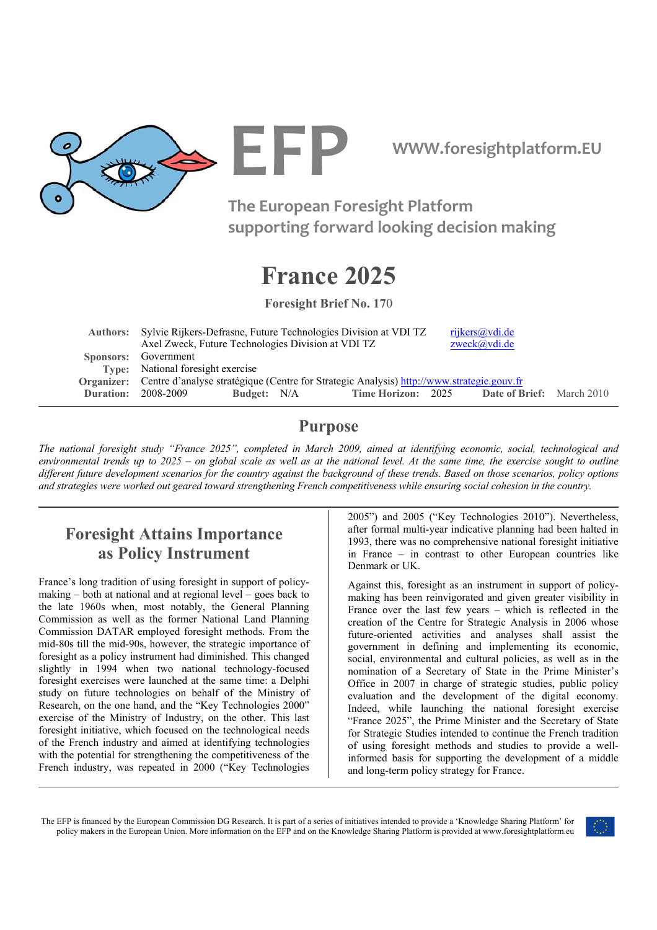

**EFP WWW.foresightplatform.EU** 

**The European Foresight Platform supporting forward looking decision making**

# **France 2025**

**Foresight Brief No. 17**0

|  | Authors: Sylvie Rijkers-Defrasne, Future Technologies Division at VDI TZ                             |             | rijkers@vdi.de |                    |  |                                  |  |  |
|--|------------------------------------------------------------------------------------------------------|-------------|----------------|--------------------|--|----------------------------------|--|--|
|  | Axel Zweck, Future Technologies Division at VDI TZ                                                   |             |                |                    |  | $z$ weck $(a)$ vdi.de            |  |  |
|  | Sponsors: Government                                                                                 |             |                |                    |  |                                  |  |  |
|  | Type: National foresight exercise                                                                    |             |                |                    |  |                                  |  |  |
|  | Organizer: Centre d'analyse stratégique (Centre for Strategic Analysis) http://www.strategie.gouv.fr |             |                |                    |  |                                  |  |  |
|  | <b>Duration: 2008-2009</b>                                                                           | Budget: N/A |                | Time Horizon: 2025 |  | <b>Date of Brief:</b> March 2010 |  |  |
|  |                                                                                                      |             |                |                    |  |                                  |  |  |

## **Purpose**

*The national foresight study "France 2025", completed in March 2009, aimed at identifying economic, social, technological and environmental trends up to 2025 – on global scale as well as at the national level. At the same time, the exercise sought to outline different future development scenarios for the country against the background of these trends. Based on those scenarios, policy options and strategies were worked out geared toward strengthening French competitiveness while ensuring social cohesion in the country.* 

# **Foresight Attains Importance as Policy Instrument**

France's long tradition of using foresight in support of policymaking – both at national and at regional level – goes back to the late 1960s when, most notably, the General Planning Commission as well as the former National Land Planning Commission DATAR employed foresight methods. From the mid-80s till the mid-90s, however, the strategic importance of foresight as a policy instrument had diminished. This changed slightly in 1994 when two national technology-focused foresight exercises were launched at the same time: a Delphi study on future technologies on behalf of the Ministry of Research, on the one hand, and the "Key Technologies 2000" exercise of the Ministry of Industry, on the other. This last foresight initiative, which focused on the technological needs of the French industry and aimed at identifying technologies with the potential for strengthening the competitiveness of the French industry, was repeated in 2000 ("Key Technologies

2005") and 2005 ("Key Technologies 2010"). Nevertheless, after formal multi-year indicative planning had been halted in 1993, there was no comprehensive national foresight initiative in France – in contrast to other European countries like Denmark or UK.

Against this, foresight as an instrument in support of policymaking has been reinvigorated and given greater visibility in France over the last few years – which is reflected in the creation of the Centre for Strategic Analysis in 2006 whose future-oriented activities and analyses shall assist the government in defining and implementing its economic, social, environmental and cultural policies, as well as in the nomination of a Secretary of State in the Prime Minister's Office in 2007 in charge of strategic studies, public policy evaluation and the development of the digital economy. Indeed, while launching the national foresight exercise "France 2025", the Prime Minister and the Secretary of State for Strategic Studies intended to continue the French tradition of using foresight methods and studies to provide a wellinformed basis for supporting the development of a middle and long-term policy strategy for France.

The EFP is financed by the European Commission DG Research. It is part of a series of initiatives intended to provide a 'Knowledge Sharing Platform' for policy makers in the European Union. More information on the EFP and on the Knowledge Sharing Platform is provided at www.foresightplatform.eu

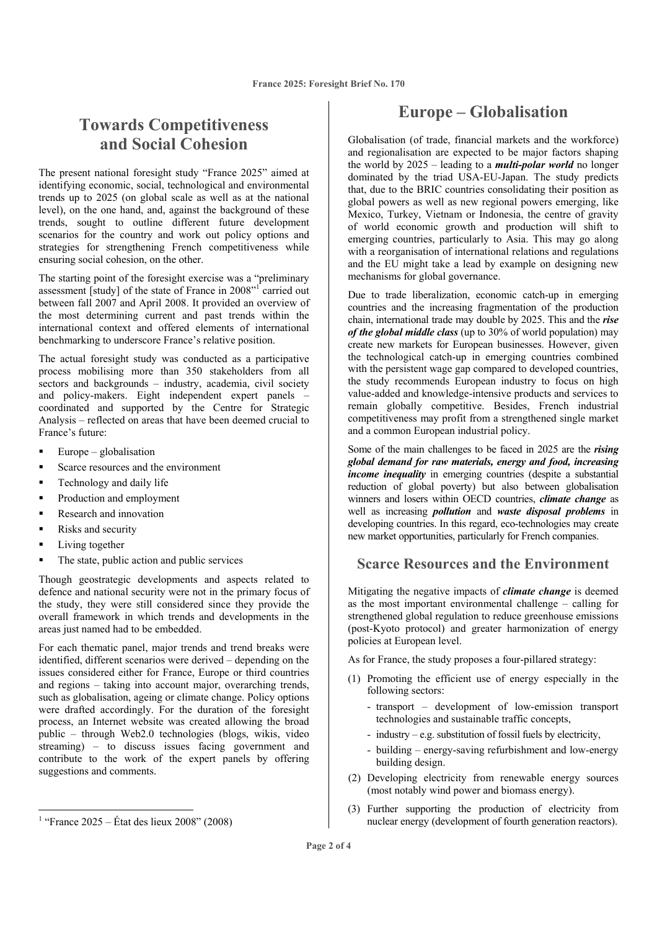# **Towards Competitiveness and Social Cohesion**

The present national foresight study "France 2025" aimed at identifying economic, social, technological and environmental trends up to 2025 (on global scale as well as at the national level), on the one hand, and, against the background of these trends, sought to outline different future development scenarios for the country and work out policy options and strategies for strengthening French competitiveness while ensuring social cohesion, on the other.

The starting point of the foresight exercise was a "preliminary assessment [study] of the state of France in 2008"<sup>1</sup> carried out between fall 2007 and April 2008. It provided an overview of the most determining current and past trends within the international context and offered elements of international benchmarking to underscore France's relative position.

The actual foresight study was conducted as a participative process mobilising more than 350 stakeholders from all  $\frac{1}{\sqrt{2}}$  sectors and backgrounds – industry, academia, civil society and policy-makers. Eight independent expert panels – coordinated and supported by the Centre for Strategic Analysis – reflected on areas that have been deemed crucial to France's future:

- $\blacksquare$  Europe globalisation
- Scarce resources and the environment
- Technology and daily life
- Production and employment
- Research and innovation
- Risks and security
- Living together

The state, public action and public services

Though geostrategic developments and aspects related to defence and national security were not in the primary focus of the study, they were still considered since they provide the overall framework in which trends and developments in the areas just named had to be embedded.

For each thematic panel, major trends and trend breaks were identified, different scenarios were derived – depending on the issues considered either for France, Europe or third countries and regions – taking into account major, overarching trends, such as globalisation, ageing or climate change. Policy options were drafted accordingly. For the duration of the foresight process, an Internet website was created allowing the broad public – through Web2.0 technologies (blogs, wikis, video streaming) – to discuss issues facing government and contribute to the work of the expert panels by offering suggestions and comments.

### **Europe – Globalisation**

Globalisation (of trade, financial markets and the workforce) and regionalisation are expected to be major factors shaping the world by 2025 – leading to a *multi-polar world* no longer dominated by the triad USA-EU-Japan. The study predicts that, due to the BRIC countries consolidating their position as global powers as well as new regional powers emerging, like Mexico, Turkey, Vietnam or Indonesia, the centre of gravity of world economic growth and production will shift to emerging countries, particularly to Asia. This may go along with a reorganisation of international relations and regulations and the EU might take a lead by example on designing new mechanisms for global governance.

Due to trade liberalization, economic catch-up in emerging countries and the increasing fragmentation of the production chain, international trade may double by 2025. This and the *rise of the global middle class* (up to 30% of world population) may create new markets for European businesses. However, given the technological catch-up in emerging countries combined with the persistent wage gap compared to developed countries, the study recommends European industry to focus on high value-added and knowledge-intensive products and services to remain globally competitive. Besides, French industrial competitiveness may profit from a strengthened single market and a common European industrial policy.

Some of the main challenges to be faced in 2025 are the *rising global demand for raw materials, energy and food, increasing income inequality* in emerging countries (despite a substantial reduction of global poverty) but also between globalisation winners and losers within OECD countries, *climate change* as well as increasing *pollution* and *waste disposal problems* in developing countries. In this regard, eco-technologies may create new market opportunities, particularly for French companies.

#### **Scarce Resources and the Environment**

Mitigating the negative impacts of *climate change* is deemed as the most important environmental challenge – calling for strengthened global regulation to reduce greenhouse emissions (post-Kyoto protocol) and greater harmonization of energy policies at European level.

As for France, the study proposes a four-pillared strategy:

- (1) Promoting the efficient use of energy especially in the following sectors:
	- transport development of low-emission transport technologies and sustainable traffic concepts,
	- industry e.g. substitution of fossil fuels by electricity,
	- building energy-saving refurbishment and low-energy building design.
- (2) Developing electricity from renewable energy sources (most notably wind power and biomass energy).
- (3) Further supporting the production of electricity from nuclear energy (development of fourth generation reactors).

<sup>&</sup>lt;sup>1</sup> "France 2025 – État des lieux 2008" (2008)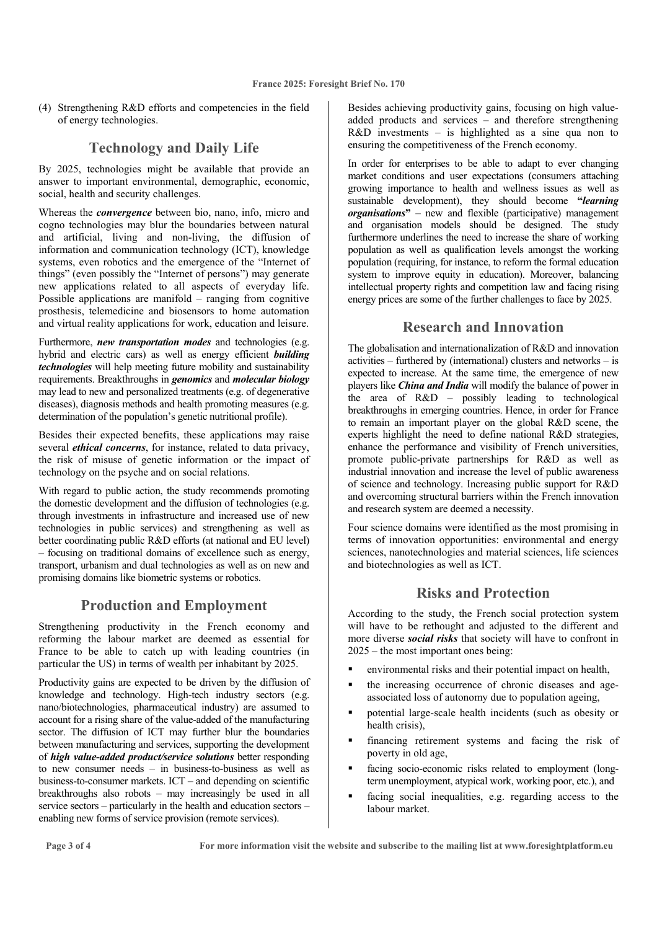(4) Strengthening R&D efforts and competencies in the field of energy technologies.

#### **Technology and Daily Life**

By 2025, technologies might be available that provide an answer to important environmental, demographic, economic, social, health and security challenges.

Whereas the *convergence* between bio, nano, info, micro and cogno technologies may blur the boundaries between natural and artificial, living and non-living, the diffusion of information and communication technology (ICT), knowledge systems, even robotics and the emergence of the "Internet of things" (even possibly the "Internet of persons") may generate new applications related to all aspects of everyday life. Possible applications are manifold – ranging from cognitive prosthesis, telemedicine and biosensors to home automation and virtual reality applications for work, education and leisure.

Furthermore, *new transportation modes* and technologies (e.g. hybrid and electric cars) as well as energy efficient *building technologies* will help meeting future mobility and sustainability requirements. Breakthroughs in *genomics* and *molecular biology* may lead to new and personalized treatments (e.g. of degenerative diseases), diagnosis methods and health promoting measures (e.g. determination of the population's genetic nutritional profile).

Besides their expected benefits, these applications may raise several *ethical concerns*, for instance, related to data privacy, the risk of misuse of genetic information or the impact of technology on the psyche and on social relations.

With regard to public action, the study recommends promoting the domestic development and the diffusion of technologies (e.g. through investments in infrastructure and increased use of new technologies in public services) and strengthening as well as better coordinating public R&D efforts (at national and EU level) – focusing on traditional domains of excellence such as energy, transport, urbanism and dual technologies as well as on new and promising domains like biometric systems or robotics.

#### **Production and Employment**

Strengthening productivity in the French economy and reforming the labour market are deemed as essential for France to be able to catch up with leading countries (in particular the US) in terms of wealth per inhabitant by 2025.

Productivity gains are expected to be driven by the diffusion of knowledge and technology. High-tech industry sectors (e.g. nano/biotechnologies, pharmaceutical industry) are assumed to account for a rising share of the value-added of the manufacturing sector. The diffusion of ICT may further blur the boundaries between manufacturing and services, supporting the development of *high value-added product/service solutions* better responding to new consumer needs – in business-to-business as well as business-to-consumer markets. ICT – and depending on scientific breakthroughs also robots – may increasingly be used in all service sectors – particularly in the health and education sectors – enabling new forms of service provision (remote services).

Besides achieving productivity gains, focusing on high valueadded products and services – and therefore strengthening R&D investments – is highlighted as a sine qua non to ensuring the competitiveness of the French economy.

In order for enterprises to be able to adapt to ever changing market conditions and user expectations (consumers attaching growing importance to health and wellness issues as well as sustainable development), they should become **"***learning organisations***"** – new and flexible (participative) management and organisation models should be designed. The study furthermore underlines the need to increase the share of working population as well as qualification levels amongst the working population (requiring, for instance, to reform the formal education system to improve equity in education). Moreover, balancing intellectual property rights and competition law and facing rising energy prices are some of the further challenges to face by 2025.

#### **Research and Innovation**

The globalisation and internationalization of R&D and innovation activities – furthered by (international) clusters and networks – is expected to increase. At the same time, the emergence of new players like *China and India* will modify the balance of power in the area of R&D – possibly leading to technological breakthroughs in emerging countries. Hence, in order for France to remain an important player on the global R&D scene, the experts highlight the need to define national R&D strategies, enhance the performance and visibility of French universities, promote public-private partnerships for R&D as well as industrial innovation and increase the level of public awareness of science and technology. Increasing public support for R&D and overcoming structural barriers within the French innovation and research system are deemed a necessity.

Four science domains were identified as the most promising in terms of innovation opportunities: environmental and energy sciences, nanotechnologies and material sciences, life sciences and biotechnologies as well as ICT.

#### **Risks and Protection**

According to the study, the French social protection system will have to be rethought and adjusted to the different and more diverse *social risks* that society will have to confront in 2025 – the most important ones being:

- environmental risks and their potential impact on health,
- the increasing occurrence of chronic diseases and ageassociated loss of autonomy due to population ageing,
- potential large-scale health incidents (such as obesity or health crisis),
- financing retirement systems and facing the risk of poverty in old age,
- facing socio-economic risks related to employment (longterm unemployment, atypical work, working poor, etc.), and
- facing social inequalities, e.g. regarding access to the labour market.